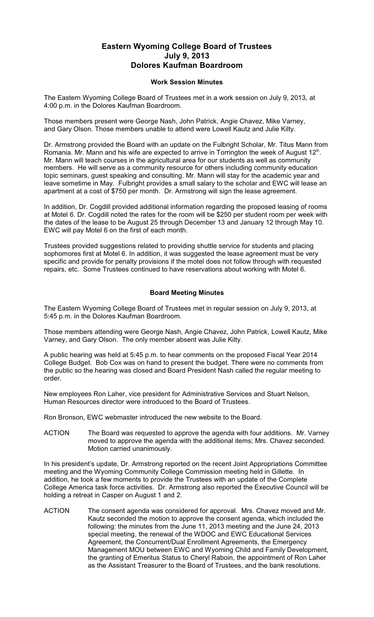## **Eastern Wyoming College Board of Trustees July 9, 2013 Dolores Kaufman Boardroom**

## **Work Session Minutes**

The Eastern Wyoming College Board of Trustees met in a work session on July 9, 2013, at 4:00 p.m. in the Dolores Kaufman Boardroom.

Those members present were George Nash, John Patrick, Angie Chavez, Mike Varney, and Gary Olson. Those members unable to attend were Lowell Kautz and Julie Kilty.

Dr. Armstrong provided the Board with an update on the Fulbright Scholar, Mr. Titus Mann from Romania. Mr. Mann and his wife are expected to arrive in Torrington the week of August  $12<sup>th</sup>$ . Mr. Mann will teach courses in the agricultural area for our students as well as community members. He will serve as a community resource for others including community education topic seminars, guest speaking and consulting. Mr. Mann will stay for the academic year and leave sometime in May. Fulbright provides a small salary to the scholar and EWC will lease an apartment at a cost of \$750 per month. Dr. Armstrong will sign the lease agreement.

In addition, Dr. Cogdill provided additional information regarding the proposed leasing of rooms at Motel 6. Dr. Cogdill noted the rates for the room will be \$250 per student room per week with the dates of the lease to be August 25 through December 13 and January 12 through May 10. EWC will pay Motel 6 on the first of each month.

Trustees provided suggestions related to providing shuttle service for students and placing sophomores first at Motel 6. In addition, it was suggested the lease agreement must be very specific and provide for penalty provisions if the motel does not follow through with requested repairs, etc. Some Trustees continued to have reservations about working with Motel 6.

## **Board Meeting Minutes**

The Eastern Wyoming College Board of Trustees met in regular session on July 9, 2013, at 5:45 p.m. in the Dolores Kaufman Boardroom.

Those members attending were George Nash, Angie Chavez, John Patrick, Lowell Kautz, Mike Varney, and Gary Olson. The only member absent was Julie Kilty.

A public hearing was held at 5:45 p.m. to hear comments on the proposed Fiscal Year 2014 College Budget. Bob Cox was on hand to present the budget. There were no comments from the public so the hearing was closed and Board President Nash called the regular meeting to order.

New employees Ron Laher, vice president for Administrative Services and Stuart Nelson, Human Resources director were introduced to the Board of Trustees.

Ron Bronson, EWC webmaster introduced the new website to the Board.

ACTION The Board was requested to approve the agenda with four additions. Mr. Varney moved to approve the agenda with the additional items; Mrs. Chavez seconded. Motion carried unanimously.

In his president's update, Dr. Armstrong reported on the recent Joint Appropriations Committee meeting and the Wyoming Community College Commission meeting held in Gillette. In addition, he took a few moments to provide the Trustees with an update of the Complete College America task force activities. Dr. Armstrong also reported the Executive Council will be holding a retreat in Casper on August 1 and 2.

ACTION The consent agenda was considered for approval. Mrs. Chavez moved and Mr. Kautz seconded the motion to approve the consent agenda, which included the following: the minutes from the June 11, 2013 meeting and the June 24, 2013 special meeting, the renewal of the WDOC and EWC Educational Services Agreement, the Concurrent/Dual Enrollment Agreements, the Emergency Management MOU between EWC and Wyoming Child and Family Development, the granting of Emeritus Status to Cheryl Raboin, the appointment of Ron Laher as the Assistant Treasurer to the Board of Trustees, and the bank resolutions.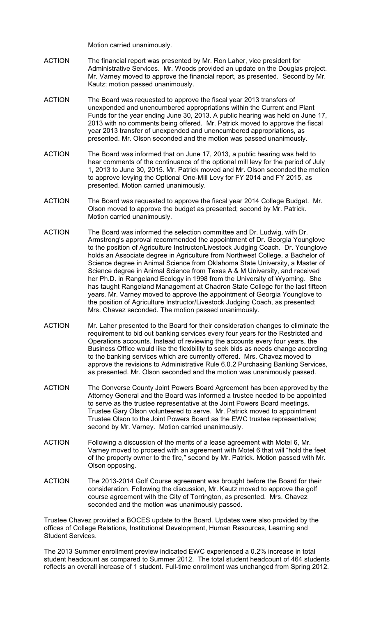Motion carried unanimously.

- ACTION The financial report was presented by Mr. Ron Laher, vice president for Administrative Services. Mr. Woods provided an update on the Douglas project. Mr. Varney moved to approve the financial report, as presented. Second by Mr. Kautz; motion passed unanimously.
- ACTION The Board was requested to approve the fiscal year 2013 transfers of unexpended and unencumbered appropriations within the Current and Plant Funds for the year ending June 30, 2013. A public hearing was held on June 17, 2013 with no comments being offered. Mr. Patrick moved to approve the fiscal year 2013 transfer of unexpended and unencumbered appropriations, as presented. Mr. Olson seconded and the motion was passed unanimously.
- ACTION The Board was informed that on June 17, 2013, a public hearing was held to hear comments of the continuance of the optional mill levy for the period of July 1, 2013 to June 30, 2015. Mr. Patrick moved and Mr. Olson seconded the motion to approve levying the Optional One-Mill Levy for FY 2014 and FY 2015, as presented. Motion carried unanimously.
- ACTION The Board was requested to approve the fiscal year 2014 College Budget. Mr. Olson moved to approve the budget as presented; second by Mr. Patrick. Motion carried unanimously.
- ACTION The Board was informed the selection committee and Dr. Ludwig, with Dr. Armstrong's approval recommended the appointment of Dr. Georgia Younglove to the position of Agriculture Instructor/Livestock Judging Coach. Dr. Younglove holds an Associate degree in Agriculture from Northwest College, a Bachelor of Science degree in Animal Science from Oklahoma State University, a Master of Science degree in Animal Science from Texas A & M University, and received her Ph.D. in Rangeland Ecology in 1998 from the University of Wyoming. She has taught Rangeland Management at Chadron State College for the last fifteen years. Mr. Varney moved to approve the appointment of Georgia Younglove to the position of Agriculture Instructor/Livestock Judging Coach, as presented; Mrs. Chavez seconded. The motion passed unanimously.
- ACTION Mr. Laher presented to the Board for their consideration changes to eliminate the requirement to bid out banking services every four years for the Restricted and Operations accounts. Instead of reviewing the accounts every four years, the Business Office would like the flexibility to seek bids as needs change according to the banking services which are currently offered. Mrs. Chavez moved to approve the revisions to Administrative Rule 6.0.2 Purchasing Banking Services, as presented. Mr. Olson seconded and the motion was unanimously passed.
- ACTION The Converse County Joint Powers Board Agreement has been approved by the Attorney General and the Board was informed a trustee needed to be appointed to serve as the trustee representative at the Joint Powers Board meetings. Trustee Gary Olson volunteered to serve. Mr. Patrick moved to appointment Trustee Olson to the Joint Powers Board as the EWC trustee representative; second by Mr. Varney. Motion carried unanimously.
- ACTION Following a discussion of the merits of a lease agreement with Motel 6, Mr. Varney moved to proceed with an agreement with Motel 6 that will "hold the feet of the property owner to the fire," second by Mr. Patrick. Motion passed with Mr. Olson opposing.
- ACTION The 2013-2014 Golf Course agreement was brought before the Board for their consideration. Following the discussion, Mr. Kautz moved to approve the golf course agreement with the City of Torrington, as presented. Mrs. Chavez seconded and the motion was unanimously passed.

Trustee Chavez provided a BOCES update to the Board. Updates were also provided by the offices of College Relations, Institutional Development, Human Resources, Learning and Student Services.

The 2013 Summer enrollment preview indicated EWC experienced a 0.2% increase in total student headcount as compared to Summer 2012. The total student headcount of 464 students reflects an overall increase of 1 student. Full-time enrollment was unchanged from Spring 2012.